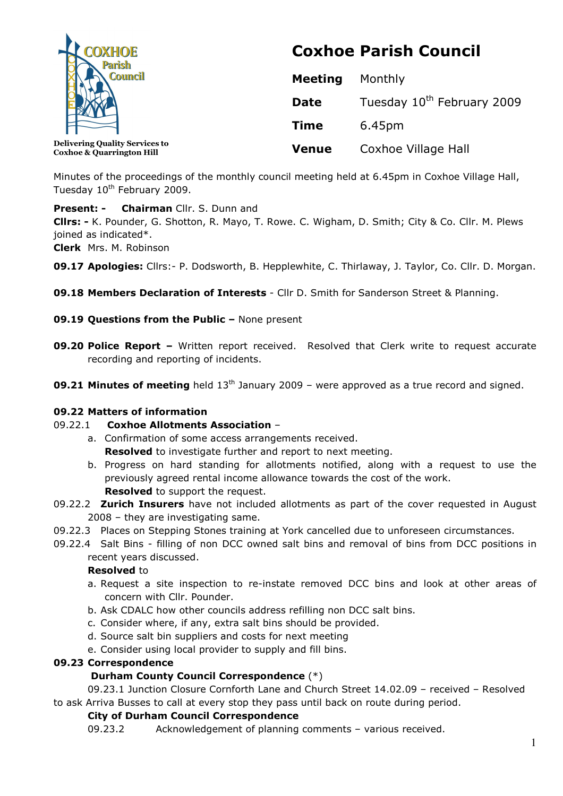

Coxhoe & Quarrington Hill

Coxhoe Parish Council

| <b>Meeting</b> | Monthly                                |
|----------------|----------------------------------------|
| Date           | Tuesday 10 <sup>th</sup> February 2009 |
| <b>Time</b>    | 6.45pm                                 |
| Venue          | Coxhoe Village Hall                    |

Minutes of the proceedings of the monthly council meeting held at 6.45pm in Coxhoe Village Hall, Tuesday 10<sup>th</sup> February 2009.

### Present: - Chairman Cllr. S. Dunn and

Cllrs: - K. Pounder, G. Shotton, R. Mayo, T. Rowe. C. Wigham, D. Smith; City & Co. Cllr. M. Plews joined as indicated\*.

Clerk Mrs. M. Robinson

- 09.17 Apologies: Cllrs:- P. Dodsworth, B. Hepplewhite, C. Thirlaway, J. Taylor, Co. Cllr. D. Morgan.
- **09.18 Members Declaration of Interests** Cllr D. Smith for Sanderson Street & Planning.
- 09.19 Questions from the Public None present
- **09.20 Police Report -** Written report received. Resolved that Clerk write to request accurate recording and reporting of incidents.
- **09.21 Minutes of meeting** held  $13<sup>th</sup>$  January 2009 were approved as a true record and signed.

### 09.22 Matters of information

### 09.22.1 Coxhoe Allotments Association –

- a. Confirmation of some access arrangements received. Resolved to investigate further and report to next meeting.
- b. Progress on hard standing for allotments notified, along with a request to use the previously agreed rental income allowance towards the cost of the work. Resolved to support the request.
- 09.22.2 **Zurich Insurers** have not included allotments as part of the cover requested in August 2008 – they are investigating same.
- 09.22.3 Places on Stepping Stones training at York cancelled due to unforeseen circumstances.
- 09.22.4 Salt Bins filling of non DCC owned salt bins and removal of bins from DCC positions in recent years discussed.

#### Resolved to

- a. Request a site inspection to re-instate removed DCC bins and look at other areas of concern with Cllr. Pounder.
- b. Ask CDALC how other councils address refilling non DCC salt bins.
- c. Consider where, if any, extra salt bins should be provided.
- d. Source salt bin suppliers and costs for next meeting
- e. Consider using local provider to supply and fill bins.

### 09.23 Correspondence

### Durham County Council Correspondence (\*)

09.23.1 Junction Closure Cornforth Lane and Church Street 14.02.09 – received – Resolved to ask Arriva Busses to call at every stop they pass until back on route during period.

### City of Durham Council Correspondence

09.23.2 Acknowledgement of planning comments – various received.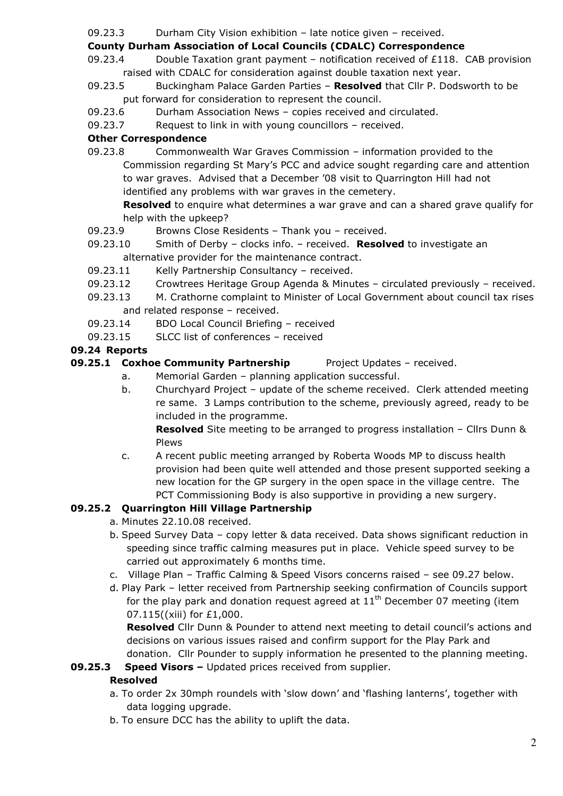09.23.3 Durham City Vision exhibition – late notice given – received.

### County Durham Association of Local Councils (CDALC) Correspondence

- 09.23.4 Double Taxation grant payment notification received of £118. CAB provision raised with CDALC for consideration against double taxation next year.
- 09.23.5 Buckingham Palace Garden Parties Resolved that Cllr P. Dodsworth to be put forward for consideration to represent the council.
- 09.23.6 Durham Association News copies received and circulated.
- 09.23.7 Request to link in with young councillors received.

# Other Correspondence

09.23.8 Commonwealth War Graves Commission – information provided to the Commission regarding St Mary's PCC and advice sought regarding care and attention to war graves. Advised that a December '08 visit to Quarrington Hill had not identified any problems with war graves in the cemetery.

Resolved to enquire what determines a war grave and can a shared grave qualify for help with the upkeep?

- 09.23.9 Browns Close Residents Thank you received.
- 09.23.10 Smith of Derby clocks info. received. **Resolved** to investigate an alternative provider for the maintenance contract.
- 09.23.11 Kelly Partnership Consultancy received.
- 09.23.12 Crowtrees Heritage Group Agenda & Minutes circulated previously received.
- 09.23.13 M. Crathorne complaint to Minister of Local Government about council tax rises and related response – received.
- 09.23.14 BDO Local Council Briefing received
- 09.23.15 SLCC list of conferences received

# 09.24 Reports

## 09.25.1 Coxhoe Community Partnership Project Updates - received.

- a. Memorial Garden planning application successful.
	- b. Churchyard Project update of the scheme received. Clerk attended meeting re same. 3 Lamps contribution to the scheme, previously agreed, ready to be included in the programme.

Resolved Site meeting to be arranged to progress installation - Cllrs Dunn & Plews

c. A recent public meeting arranged by Roberta Woods MP to discuss health provision had been quite well attended and those present supported seeking a new location for the GP surgery in the open space in the village centre. The PCT Commissioning Body is also supportive in providing a new surgery.

# 09.25.2 Quarrington Hill Village Partnership

- a. Minutes 22.10.08 received.
- b. Speed Survey Data copy letter & data received. Data shows significant reduction in speeding since traffic calming measures put in place. Vehicle speed survey to be carried out approximately 6 months time.
- c. Village Plan Traffic Calming & Speed Visors concerns raised see 09.27 below.
- d. Play Park letter received from Partnership seeking confirmation of Councils support for the play park and donation request agreed at  $11<sup>th</sup>$  December 07 meeting (item 07.115((xiii) for £1,000.

Resolved Cllr Dunn & Pounder to attend next meeting to detail council's actions and decisions on various issues raised and confirm support for the Play Park and donation. Cllr Pounder to supply information he presented to the planning meeting.

## 09.25.3 Speed Visors – Updated prices received from supplier.

## Resolved

- a. To order 2x 30mph roundels with 'slow down' and 'flashing lanterns', together with data logging upgrade.
- b. To ensure DCC has the ability to uplift the data.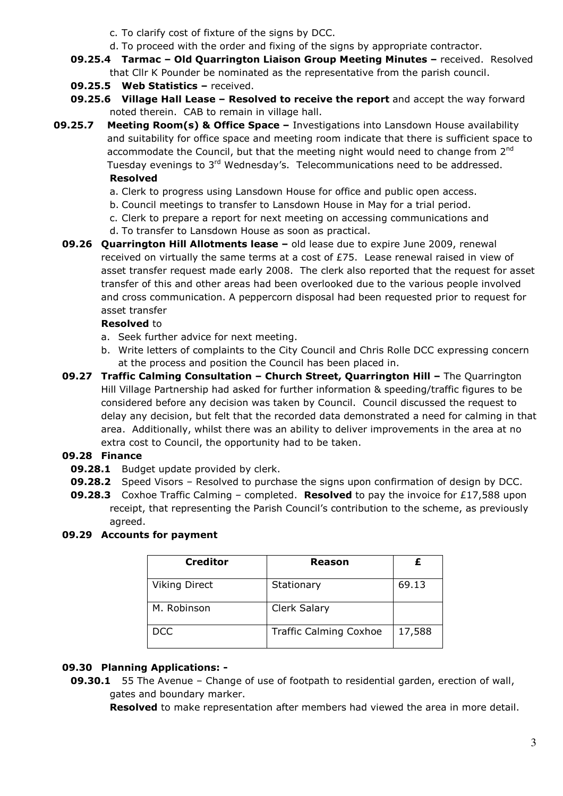- c. To clarify cost of fixture of the signs by DCC.
- d. To proceed with the order and fixing of the signs by appropriate contractor.
- 09.25.4 Tarmac Old Quarrington Liaison Group Meeting Minutes received. Resolved that Cllr K Pounder be nominated as the representative from the parish council.
- 09.25.5 Web Statistics received.
- 09.25.6 Village Hall Lease Resolved to receive the report and accept the way forward noted therein. CAB to remain in village hall.
- 09.25.7 Meeting Room(s) & Office Space Investigations into Lansdown House availability and suitability for office space and meeting room indicate that there is sufficient space to accommodate the Council, but that the meeting night would need to change from 2<sup>nd</sup> Tuesday evenings to 3<sup>rd</sup> Wednesday's. Telecommunications need to be addressed. Resolved
	- a. Clerk to progress using Lansdown House for office and public open access.
	- b. Council meetings to transfer to Lansdown House in May for a trial period.
	- c. Clerk to prepare a report for next meeting on accessing communications and
	- d. To transfer to Lansdown House as soon as practical.
	- 09.26 Quarrington Hill Allotments lease old lease due to expire June 2009, renewal received on virtually the same terms at a cost of  $E75$ . Lease renewal raised in view of asset transfer request made early 2008. The clerk also reported that the request for asset transfer of this and other areas had been overlooked due to the various people involved and cross communication. A peppercorn disposal had been requested prior to request for asset transfer

### Resolved to

- a. Seek further advice for next meeting.
- b. Write letters of complaints to the City Council and Chris Rolle DCC expressing concern at the process and position the Council has been placed in.
- 09.27 Traffic Calming Consultation Church Street, Quarrington Hill The Quarrington Hill Village Partnership had asked for further information & speeding/traffic figures to be considered before any decision was taken by Council. Council discussed the request to delay any decision, but felt that the recorded data demonstrated a need for calming in that area. Additionally, whilst there was an ability to deliver improvements in the area at no extra cost to Council, the opportunity had to be taken.

### 09.28 Finance

- 09.28.1 Budget update provided by clerk.
- **09.28.2** Speed Visors Resolved to purchase the signs upon confirmation of design by DCC.
- **09.28.3** Coxhoe Traffic Calming completed. Resolved to pay the invoice for £17,588 upon receipt, that representing the Parish Council's contribution to the scheme, as previously agreed.

### 09.29 Accounts for payment

| <b>Creditor</b>      | Reason                        |        |
|----------------------|-------------------------------|--------|
| <b>Viking Direct</b> | Stationary                    | 69.13  |
| M. Robinson          | Clerk Salary                  |        |
| <b>DCC</b>           | <b>Traffic Calming Coxhoe</b> | 17,588 |

### 09.30 Planning Applications: -

09.30.1 55 The Avenue - Change of use of footpath to residential garden, erection of wall, gates and boundary marker.

Resolved to make representation after members had viewed the area in more detail.